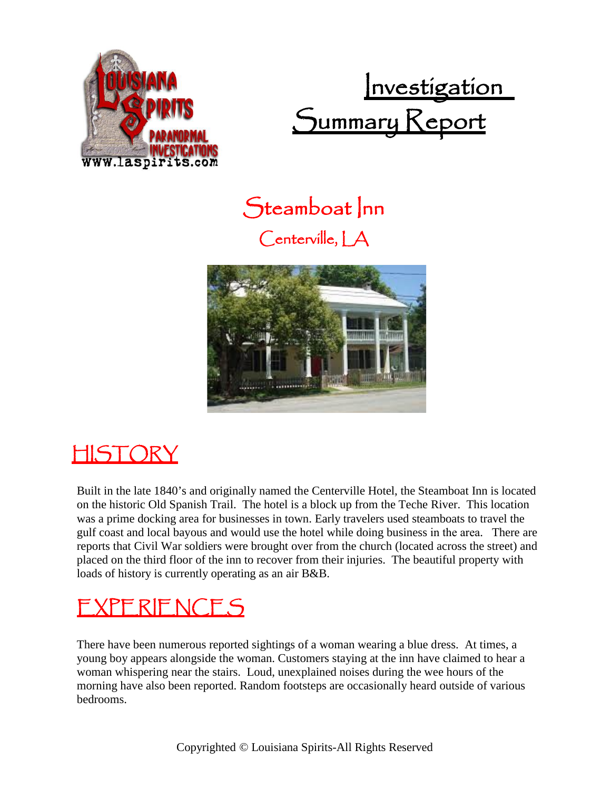

Investigation Summary Keport

Steamboat Inn Centerville, LA



# HISTORY

Built in the late 1840's and originally named the Centerville Hotel, the Steamboat Inn is located on the historic Old Spanish Trail. The hotel is a block up from the Teche River. This location was a prime docking area for businesses in town. Early travelers used steamboats to travel the gulf coast and local bayous and would use the hotel while doing business in the area. There are reports that Civil War soldiers were brought over from the church (located across the street) and placed on the third floor of the inn to recover from their injuries. The beautiful property with loads of history is currently operating as an air B&B.

## EXPERIENCES

There have been numerous reported sightings of a woman wearing a blue dress. At times, a young boy appears alongside the woman. Customers staying at the inn have claimed to hear a woman whispering near the stairs. Loud, unexplained noises during the wee hours of the morning have also been reported. Random footsteps are occasionally heard outside of various bedrooms.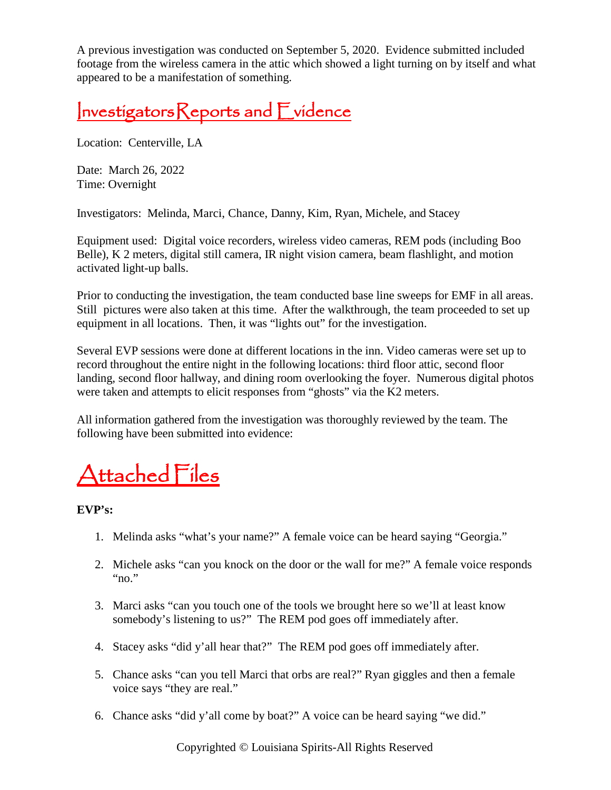A previous investigation was conducted on September 5, 2020. Evidence submitted included footage from the wireless camera in the attic which showed a light turning on by itself and what appeared to be a manifestation of something.

## InvestigatorsReports and Evidence

Location: Centerville, LA

Date: March 26, 2022 Time: Overnight

Investigators: Melinda, Marci, Chance, Danny, Kim, Ryan, Michele, and Stacey

Equipment used: Digital voice recorders, wireless video cameras, REM pods (including Boo Belle), K 2 meters, digital still camera, IR night vision camera, beam flashlight, and motion activated light-up balls.

Prior to conducting the investigation, the team conducted base line sweeps for EMF in all areas. Still pictures were also taken at this time. After the walkthrough, the team proceeded to set up equipment in all locations. Then, it was "lights out" for the investigation.

Several EVP sessions were done at different locations in the inn. Video cameras were set up to record throughout the entire night in the following locations: third floor attic, second floor landing, second floor hallway, and dining room overlooking the foyer. Numerous digital photos were taken and attempts to elicit responses from "ghosts" via the K2 meters.

All information gathered from the investigation was thoroughly reviewed by the team. The following have been submitted into evidence:

# Attached Files

**EVP's:**

- 1. Melinda asks "what's your name?" A female voice can be heard saying "Georgia."
- 2. Michele asks "can you knock on the door or the wall for me?" A female voice responds " $no.$ "
- 3. Marci asks "can you touch one of the tools we brought here so we'll at least know somebody's listening to us?" The REM pod goes off immediately after.
- 4. Stacey asks "did y'all hear that?" The REM pod goes off immediately after.
- 5. Chance asks "can you tell Marci that orbs are real?" Ryan giggles and then a female voice says "they are real."
- 6. Chance asks "did y'all come by boat?" A voice can be heard saying "we did."

Copyrighted © Louisiana Spirits-All Rights Reserved